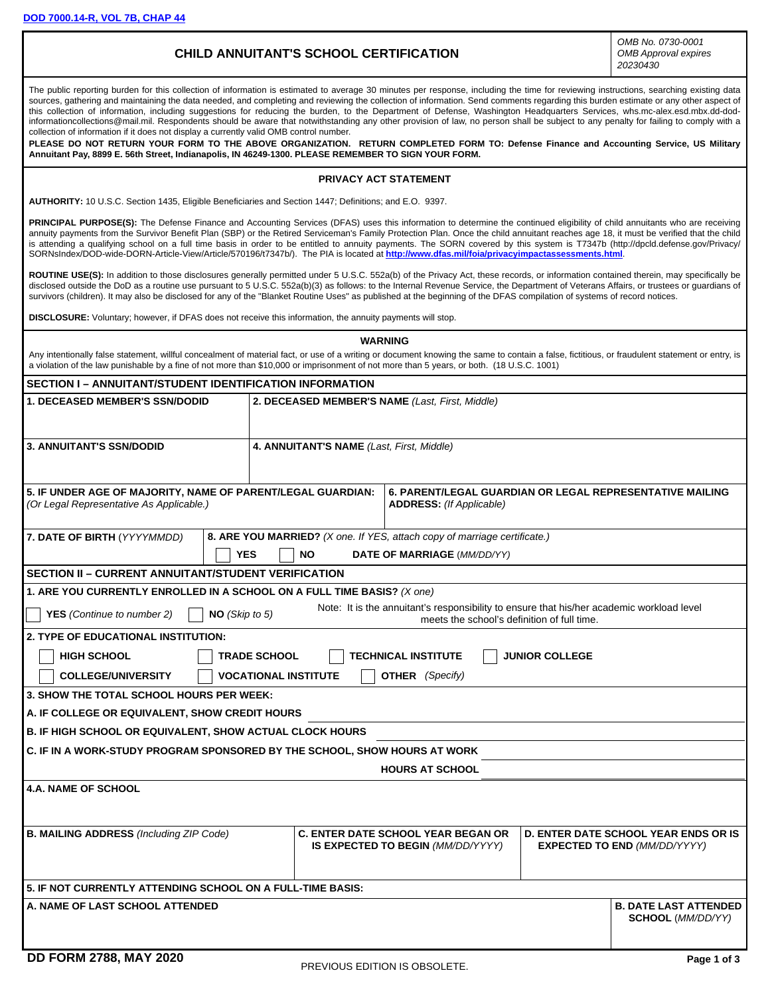**[DOD 7000.14-R, VOL 7B, CHAP 44](https://comptroller.defense.gov/Portals/45/documents/fmr/archive/07barch/07b_44.pdf)**

## **CHILD ANNUITANT'S SCHOOL CERTIFICATION**

*OMB No. 0730-0001 OMB Approval expires 20230430*

The public reporting burden for this collection of information is estimated to average 30 minutes per response, including the time for reviewing instructions, searching existing data sources, gathering and maintaining the data needed, and completing and reviewing the collection of information. Send comments regarding this burden estimate or any other aspect of this collection of information, including suggestions for reducing the burden, to the Department of Defense, Washington Headquarters Services, whs.mc-alex.esd.mbx.dd-dodinformationcollections@mail.mil. Respondents should be aware that notwithstanding any other provision of law, no person shall be subject to any penalty for failing to comply with a collection of information if it does not display a currently valid OMB control number.

**PLEASE DO NOT RETURN YOUR FORM TO THE ABOVE ORGANIZATION. RETURN COMPLETED FORM TO: Defense Finance and Accounting Service, US Military Annuitant Pay, 8899 E. 56th Street, Indianapolis, IN 46249-1300. PLEASE REMEMBER TO SIGN YOUR FORM.**

#### **PRIVACY ACT STATEMENT**

**AUTHORITY:** 10 U.S.C. Section 1435, Eligible Beneficiaries and Section 1447; Definitions; and E.O. 9397.

PRINCIPAL PURPOSE(S): The Defense Finance and Accounting Services (DFAS) uses this information to determine the continued eligibility of child annuitants who are receiving annuity payments from the Survivor Benefit Plan (SBP) or the Retired Serviceman's Family Protection Plan. Once the child annuitant reaches age 18, it must be verified that the child is attending a qualifying school on a full time basis in order to be entitled to annuity payments. The SORN covered by this system is T7347b (http://dpcld.defense.gov/Privacy/ SORNsIndex/DOD-wide-DORN-Article-View/Article/570196/t7347b/). The PIA is located at **<http://www.dfas.mil/foia/privacyimpactassessments.html>**.

**ROUTINE USE(S):** In addition to those disclosures generally permitted under 5 U.S.C. 552a(b) of the Privacy Act, these records, or information contained therein, may specifically be disclosed outside the DoD as a routine use pursuant to 5 U.S.C. 552a(b)(3) as follows: to the Internal Revenue Service, the Department of Veterans Affairs, or trustees or guardians of survivors (children). It may also be disclosed for any of the "Blanket Routine Uses" as published at the beginning of the DFAS compilation of systems of record notices.

**DISCLOSURE:** Voluntary; however, if DFAS does not receive this information, the annuity payments will stop.

| Any intentionally false statement, willful concealment of material fact, or use of a writing or document knowing the same to contain a false, fictitious, or fraudulent statement or entry, is<br>a violation of the law punishable by a fine of not more than \$10,000 or imprisonment of not more than 5 years, or both. (18 U.S.C. 1001) | <b>WARNING</b>                                                                         |                                                                                                                                          |                       |                                                                                    |  |
|---------------------------------------------------------------------------------------------------------------------------------------------------------------------------------------------------------------------------------------------------------------------------------------------------------------------------------------------|----------------------------------------------------------------------------------------|------------------------------------------------------------------------------------------------------------------------------------------|-----------------------|------------------------------------------------------------------------------------|--|
| <b>SECTION I – ANNUITANT/STUDENT IDENTIFICATION INFORMATION</b>                                                                                                                                                                                                                                                                             |                                                                                        |                                                                                                                                          |                       |                                                                                    |  |
| <b>1. DECEASED MEMBER'S SSN/DODID</b>                                                                                                                                                                                                                                                                                                       | 2. DECEASED MEMBER'S NAME (Last, First, Middle)                                        |                                                                                                                                          |                       |                                                                                    |  |
| <b>3. ANNUITANT'S SSN/DODID</b>                                                                                                                                                                                                                                                                                                             | 4. ANNUITANT'S NAME (Last, First, Middle)                                              |                                                                                                                                          |                       |                                                                                    |  |
| 5. IF UNDER AGE OF MAJORITY, NAME OF PARENT/LEGAL GUARDIAN:<br>6. PARENT/LEGAL GUARDIAN OR LEGAL REPRESENTATIVE MAILING<br><b>ADDRESS:</b> (If Applicable)<br>(Or Legal Representative As Applicable.)                                                                                                                                      |                                                                                        |                                                                                                                                          |                       |                                                                                    |  |
| 7. DATE OF BIRTH (YYYYMMDD)<br><b>YES</b>                                                                                                                                                                                                                                                                                                   | 8. ARE YOU MARRIED? (X one. If YES, attach copy of marriage certificate.)<br><b>NO</b> | <b>DATE OF MARRIAGE (MM/DD/YY)</b>                                                                                                       |                       |                                                                                    |  |
| <b>SECTION II - CURRENT ANNUITANT/STUDENT VERIFICATION</b>                                                                                                                                                                                                                                                                                  |                                                                                        |                                                                                                                                          |                       |                                                                                    |  |
| 1. ARE YOU CURRENTLY ENROLLED IN A SCHOOL ON A FULL TIME BASIS? (X one)<br><b>YES</b> (Continue to number 2)<br>NO (Skip to 5)                                                                                                                                                                                                              |                                                                                        | Note: It is the annuitant's responsibility to ensure that his/her academic workload level<br>meets the school's definition of full time. |                       |                                                                                    |  |
| 2. TYPE OF EDUCATIONAL INSTITUTION:<br><b>HIGH SCHOOL</b><br><b>COLLEGE/UNIVERSITY</b>                                                                                                                                                                                                                                                      | <b>TRADE SCHOOL</b><br><b>VOCATIONAL INSTITUTE</b>                                     | <b>TECHNICAL INSTITUTE</b><br><b>OTHER</b> (Specify)                                                                                     | <b>JUNIOR COLLEGE</b> |                                                                                    |  |
| 3. SHOW THE TOTAL SCHOOL HOURS PER WEEK:                                                                                                                                                                                                                                                                                                    |                                                                                        |                                                                                                                                          |                       |                                                                                    |  |
| A. IF COLLEGE OR EQUIVALENT, SHOW CREDIT HOURS                                                                                                                                                                                                                                                                                              |                                                                                        |                                                                                                                                          |                       |                                                                                    |  |
| <b>B. IF HIGH SCHOOL OR EQUIVALENT, SHOW ACTUAL CLOCK HOURS</b>                                                                                                                                                                                                                                                                             |                                                                                        |                                                                                                                                          |                       |                                                                                    |  |
| C. IF IN A WORK-STUDY PROGRAM SPONSORED BY THE SCHOOL, SHOW HOURS AT WORK                                                                                                                                                                                                                                                                   |                                                                                        |                                                                                                                                          |                       |                                                                                    |  |
| <b>HOURS AT SCHOOL</b>                                                                                                                                                                                                                                                                                                                      |                                                                                        |                                                                                                                                          |                       |                                                                                    |  |
| <b>4.A. NAME OF SCHOOL</b>                                                                                                                                                                                                                                                                                                                  |                                                                                        |                                                                                                                                          |                       |                                                                                    |  |
| <b>B. MAILING ADDRESS (Including ZIP Code)</b>                                                                                                                                                                                                                                                                                              |                                                                                        | <b>C. ENTER DATE SCHOOL YEAR BEGAN OR</b><br>IS EXPECTED TO BEGIN (MM/DD/YYYY)                                                           |                       | <b>D. ENTER DATE SCHOOL YEAR ENDS OR IS</b><br><b>EXPECTED TO END (MM/DD/YYYY)</b> |  |
| 5. IF NOT CURRENTLY ATTENDING SCHOOL ON A FULL-TIME BASIS:                                                                                                                                                                                                                                                                                  |                                                                                        |                                                                                                                                          |                       |                                                                                    |  |
| <b>A. NAME OF LAST SCHOOL ATTENDED</b>                                                                                                                                                                                                                                                                                                      |                                                                                        |                                                                                                                                          |                       | <b>B. DATE LAST ATTENDED</b><br><b>SCHOOL</b> (MM/DD/YY)                           |  |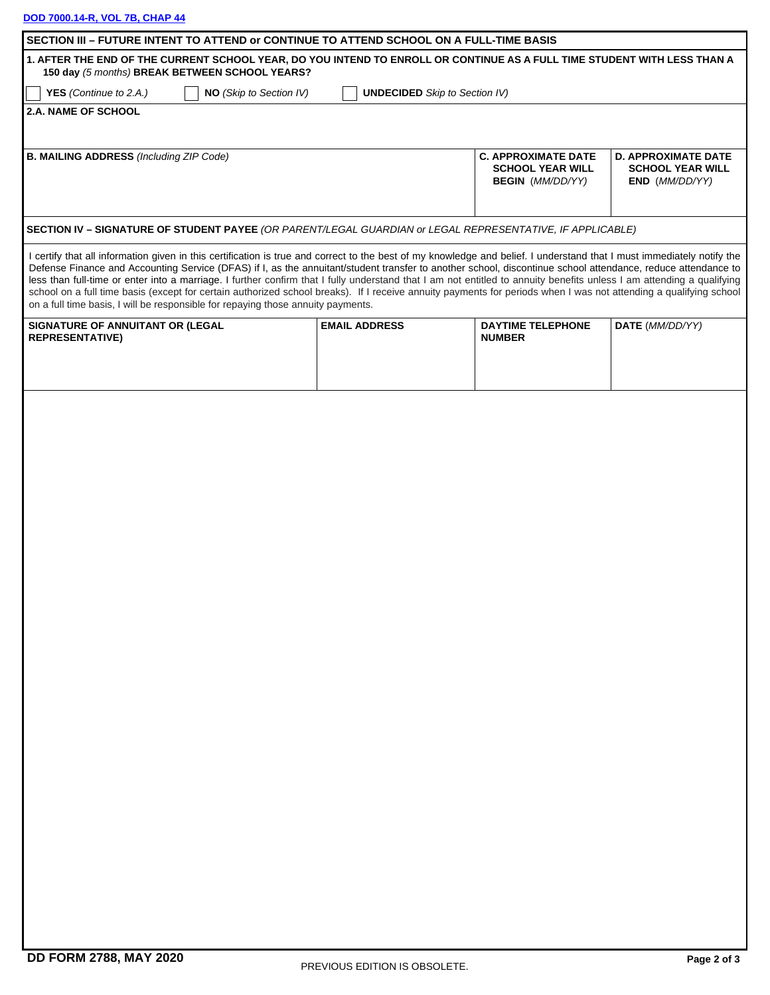## **[DOD 7000.14-R, VOL 7B, CHAP 44](https://comptroller.defense.gov/Portals/45/documents/fmr/archive/07barch/07b_44.pdf)**

| SECTION III - FUTURE INTENT TO ATTEND or CONTINUE TO ATTEND SCHOOL ON A FULL-TIME BASIS<br>1. AFTER THE END OF THE CURRENT SCHOOL YEAR, DO YOU INTEND TO ENROLL OR CONTINUE AS A FULL TIME STUDENT WITH LESS THAN A                                                                                                                                                                                                                                                                                                                                                                                                                                                                                                                                                      |                                      |                                                                                  |                                                                         |
|--------------------------------------------------------------------------------------------------------------------------------------------------------------------------------------------------------------------------------------------------------------------------------------------------------------------------------------------------------------------------------------------------------------------------------------------------------------------------------------------------------------------------------------------------------------------------------------------------------------------------------------------------------------------------------------------------------------------------------------------------------------------------|--------------------------------------|----------------------------------------------------------------------------------|-------------------------------------------------------------------------|
| 150 day (5 months) BREAK BETWEEN SCHOOL YEARS?                                                                                                                                                                                                                                                                                                                                                                                                                                                                                                                                                                                                                                                                                                                           |                                      |                                                                                  |                                                                         |
| NO (Skip to Section IV)<br>YES (Continue to 2.A.)<br><b>2.A. NAME OF SCHOOL</b>                                                                                                                                                                                                                                                                                                                                                                                                                                                                                                                                                                                                                                                                                          | <b>UNDECIDED</b> Skip to Section IV) |                                                                                  |                                                                         |
|                                                                                                                                                                                                                                                                                                                                                                                                                                                                                                                                                                                                                                                                                                                                                                          |                                      |                                                                                  |                                                                         |
| <b>B. MAILING ADDRESS (Including ZIP Code)</b>                                                                                                                                                                                                                                                                                                                                                                                                                                                                                                                                                                                                                                                                                                                           |                                      | <b>C. APPROXIMATE DATE</b><br><b>SCHOOL YEAR WILL</b><br><b>BEGIN</b> (MM/DD/YY) | <b>D. APPROXIMATE DATE</b><br><b>SCHOOL YEAR WILL</b><br>END (MM/DD/YY) |
| SECTION IV - SIGNATURE OF STUDENT PAYEE (OR PARENT/LEGAL GUARDIAN or LEGAL REPRESENTATIVE, IF APPLICABLE)                                                                                                                                                                                                                                                                                                                                                                                                                                                                                                                                                                                                                                                                |                                      |                                                                                  |                                                                         |
| I certify that all information given in this certification is true and correct to the best of my knowledge and belief. I understand that I must immediately notify the<br>Defense Finance and Accounting Service (DFAS) if I, as the annuitant/student transfer to another school, discontinue school attendance, reduce attendance to<br>less than full-time or enter into a marriage. I further confirm that I fully understand that I am not entitled to annuity benefits unless I am attending a qualifying<br>school on a full time basis (except for certain authorized school breaks). If I receive annuity payments for periods when I was not attending a qualifying school<br>on a full time basis, I will be responsible for repaying those annuity payments. |                                      |                                                                                  |                                                                         |
| SIGNATURE OF ANNUITANT OR (LEGAL<br><b>REPRESENTATIVE)</b>                                                                                                                                                                                                                                                                                                                                                                                                                                                                                                                                                                                                                                                                                                               | <b>EMAIL ADDRESS</b>                 | <b>DAYTIME TELEPHONE</b><br><b>NUMBER</b>                                        | DATE (MM/DD/YY)                                                         |
|                                                                                                                                                                                                                                                                                                                                                                                                                                                                                                                                                                                                                                                                                                                                                                          |                                      |                                                                                  |                                                                         |
|                                                                                                                                                                                                                                                                                                                                                                                                                                                                                                                                                                                                                                                                                                                                                                          |                                      |                                                                                  |                                                                         |
|                                                                                                                                                                                                                                                                                                                                                                                                                                                                                                                                                                                                                                                                                                                                                                          |                                      |                                                                                  |                                                                         |